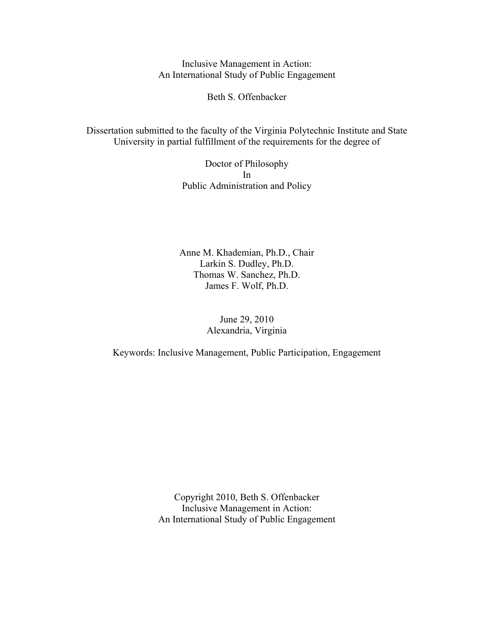Inclusive Management in Action: An International Study of Public Engagement

Beth S. Offenbacker

Dissertation submitted to the faculty of the Virginia Polytechnic Institute and State University in partial fulfillment of the requirements for the degree of

> Doctor of Philosophy In Public Administration and Policy

Anne M. Khademian, Ph.D., Chair Larkin S. Dudley, Ph.D. Thomas W. Sanchez, Ph.D. James F. Wolf, Ph.D.

> June 29, 2010 Alexandria, Virginia

Keywords: Inclusive Management, Public Participation, Engagement

Copyright 2010, Beth S. Offenbacker Inclusive Management in Action: An International Study of Public Engagement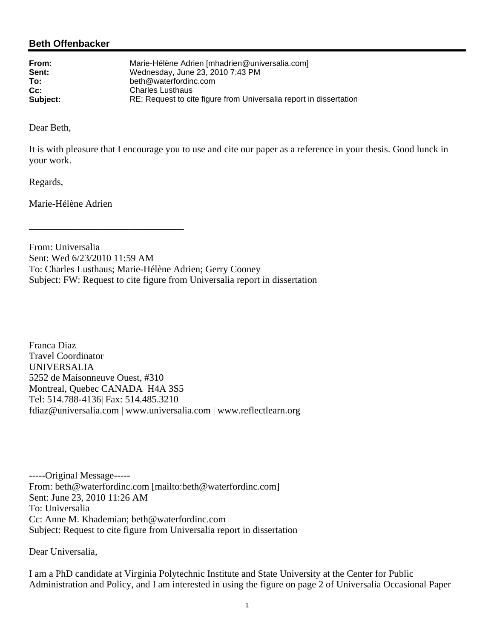# **Beth Offenbacker**

| From:    | Marie-Hélène Adrien [mhadrien@universalia.com]                     |
|----------|--------------------------------------------------------------------|
| Sent:    | Wednesday, June 23, 2010 7:43 PM                                   |
| To:      | beth@waterfordinc.com                                              |
| $Cc$ :   | <b>Charles Lusthaus</b>                                            |
| Subject: | RE: Request to cite figure from Universalia report in dissertation |

Dear Beth,

It is with pleasure that I encourage you to use and cite our paper as a reference in your thesis. Good lunck in your work.

Regards,

Marie-Hélène Adrien

\_\_\_\_\_\_\_\_\_\_\_\_\_\_\_\_\_\_\_\_\_\_\_\_\_\_\_\_\_\_\_\_

From: Universalia Sent: Wed 6/23/2010 11:59 AM To: Charles Lusthaus; Marie-Hélène Adrien; Gerry Cooney Subject: FW: Request to cite figure from Universalia report in dissertation

Franca Diaz Travel Coordinator UNIVERSALIA 5252 de Maisonneuve Ouest, #310 Montreal, Quebec CANADA H4A 3S5 Tel: 514.788-4136| Fax: 514.485.3210 fdiaz@universalia.com | www.universalia.com | www.reflectlearn.org

-----Original Message----- From: beth@waterfordinc.com [mailto:beth@waterfordinc.com] Sent: June 23, 2010 11:26 AM To: Universalia Cc: Anne M. Khademian; beth@waterfordinc.com Subject: Request to cite figure from Universalia report in dissertation

Dear Universalia,

I am a PhD candidate at Virginia Polytechnic Institute and State University at the Center for Public Administration and Policy, and I am interested in using the figure on page 2 of Universalia Occasional Paper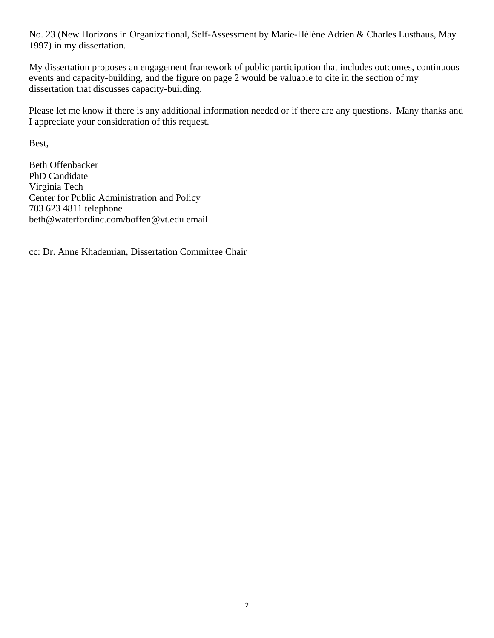No. 23 (New Horizons in Organizational, Self-Assessment by Marie-Hélène Adrien & Charles Lusthaus, May 1997) in my dissertation.

My dissertation proposes an engagement framework of public participation that includes outcomes, continuous events and capacity-building, and the figure on page 2 would be valuable to cite in the section of my dissertation that discusses capacity-building.

Please let me know if there is any additional information needed or if there are any questions. Many thanks and I appreciate your consideration of this request.

Best,

Beth Offenbacker PhD Candidate Virginia Tech Center for Public Administration and Policy 703 623 4811 telephone beth@waterfordinc.com/boffen@vt.edu email

cc: Dr. Anne Khademian, Dissertation Committee Chair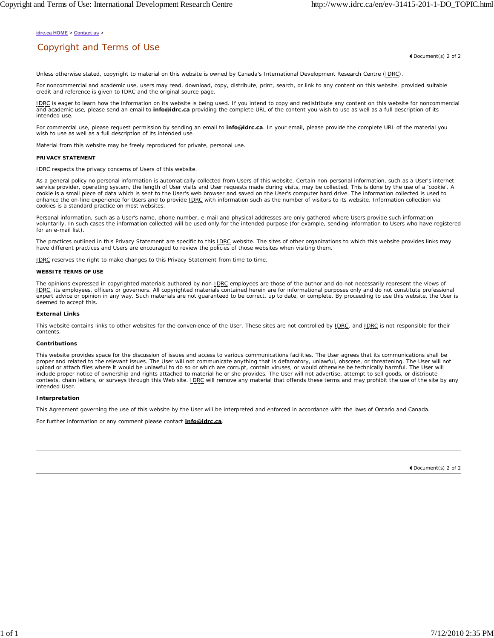**idrc.ca HOME** > **Contact us** >

## Copyright and Terms of Use

Document(s) 2 of 2

Unless otherwise stated, copyright to material on this website is owned by Canada's International Development Research Centre (IDRC).

For noncommercial and academic use, users may read, download, copy, distribute, print, search, or link to any content on this website, provided suitable credit and reference is given to IDRC and the original source page.

IDRC is eager to learn how the information on its website is being used. If you intend to copy and redistribute any content on this website for noncommercial and academic use, please send an email to **info@idrc.ca** providing the complete URL of the content you wish to use as well as a full description of its intended use.

For commercial use, please request permission by sending an email to **info@idrc.ca**. In your email, please provide the complete URL of the material you wish to use as well as a full description of its intended use.

Material from this website may be freely reproduced for private, personal use.

### **PRIVACY STATEMENT**

IDRC respects the privacy concerns of Users of this website.

As a general policy no personal information is automatically collected from Users of this website. Certain non-personal information, such as a User's internet service provider, operating system, the length of User visits and User requests made during visits, may be collected. This is done by the use of a 'cookie'. A cookie is a small piece of data which is sent to the User's web browser and saved on the User's computer hard drive. The information collected is used to enhance the on-line experience for Users and to provide IDRC with information such as the number of visitors to its website. Information collection via cookies is a standard practice on most websites.

Personal information, such as a User's name, phone number, e-mail and physical addresses are only gathered where Users provide such information voluntarily. In such cases the information collected will be used only for the intended purpose (for example, sending information to Users who have registered for an e-mail list).

The practices outlined in this Privacy Statement are specific to this IDRC website. The sites of other organizations to which this website provides links may have different practices and Users are encouraged to review the policies of those websites when visiting them.

IDRC reserves the right to make changes to this Privacy Statement from time to time.

#### **WEBSITE TERMS OF USE**

The opinions expressed in copyrighted materials authored by non-IDRC employees are those of the author and do not necessarily represent the views of IDRC, its employees, officers or governors. All copyrighted materials contained herein are for informational purposes only and do not constitute professional expert advice or opinion in any way. Such materials are not guaranteed to be correct, up to date, or complete. By proceeding to use this website, the User is deemed to accept this.

#### **External Links**

This website contains links to other websites for the convenience of the User. These sites are not controlled by IDRC, and IDRC is not responsible for their contents.

#### **Contributions**

This website provides space for the discussion of issues and access to various communications facilities. The User agrees that its communications shall be proper and related to the relevant issues. The User will not communicate anything that is defamatory, unlawful, obscene, or threatening. The User will not upload or attach files where it would be unlawful to do so or which are corrupt, contain viruses, or would otherwise be technically harmful. The User will include proper notice of ownership and rights attached to material he or she provides. The User will not advertise, attempt to sell goods, or distribute contests, chain letters, or surveys through this Web site. IDRC will remove any material that offends these terms and may prohibit the use of the site by any intended User.

### **Interpretation**

This Agreement governing the use of this website by the User will be interpreted and enforced in accordance with the laws of Ontario and Canada.

For further information or any comment please contact **info@idrc.ca**.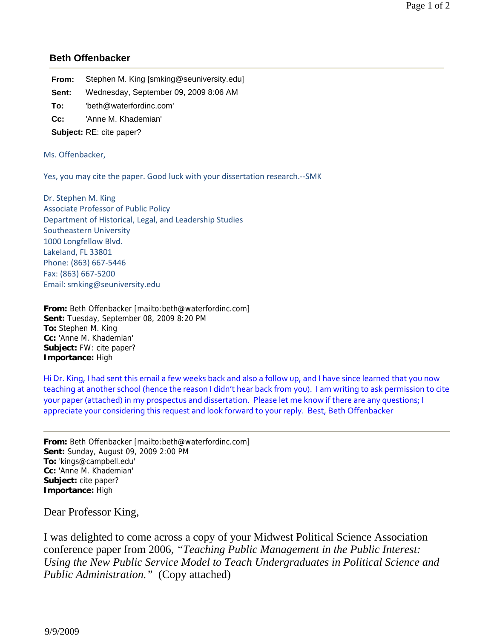# **Beth Offenbacker**

- **From:** Stephen M. King [smking@seuniversity.edu]
- **Sent:** Wednesday, September 09, 2009 8:06 AM
- **To:** 'beth@waterfordinc.com'
- **Cc:** 'Anne M. Khademian'

**Subject:** RE: cite paper?

### Ms. Offenbacker,

Yes, you may cite the paper. Good luck with your dissertation research.‐‐SMK

Dr. Stephen M. King Associate Professor of Public Policy Department of Historical, Legal, and Leadership Studies Southeastern University 1000 Longfellow Blvd. Lakeland, FL 33801 Phone: (863) 667‐5446 Fax: (863) 667‐5200 Email: smking@seuniversity.edu

**From:** Beth Offenbacker [mailto:beth@waterfordinc.com] **Sent:** Tuesday, September 08, 2009 8:20 PM **To:** Stephen M. King **Cc:** 'Anne M. Khademian' **Subject:** FW: cite paper? **Importance:** High

Hi Dr. King, I had sent this email a few weeks back and also a follow up, and I have since learned that you now teaching at another school (hence the reason I didn't hear back from you). I am writing to ask permission to cite your paper (attached) in my prospectus and dissertation. Please let me know if there are any questions; I appreciate your considering this request and look forward to your reply. Best, Beth Offenbacker

**From:** Beth Offenbacker [mailto:beth@waterfordinc.com] **Sent:** Sunday, August 09, 2009 2:00 PM **To:** 'kings@campbell.edu' **Cc:** 'Anne M. Khademian' **Subject:** cite paper? **Importance:** High

Dear Professor King,

I was delighted to come across a copy of your Midwest Political Science Association conference paper from 2006, *"Teaching Public Management in the Public Interest: Using the New Public Service Model to Teach Undergraduates in Political Science and Public Administration."* (Copy attached)